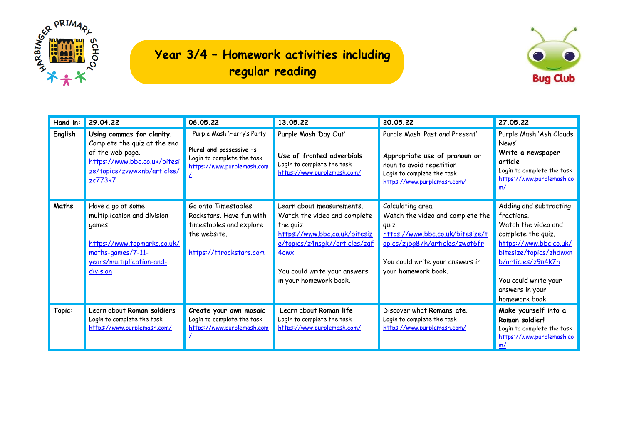

## **Year 3/4 – Homework activities including regular reading**



| Hand in: | 29.04.22                                                                                                                                                | 06.05.22                                                                                                              | 13.05.22                                                                                                                                                                                                               | 20.05.22                                                                                                                                                                                       | 27.05.22                                                                                                                                                                                                                 |
|----------|---------------------------------------------------------------------------------------------------------------------------------------------------------|-----------------------------------------------------------------------------------------------------------------------|------------------------------------------------------------------------------------------------------------------------------------------------------------------------------------------------------------------------|------------------------------------------------------------------------------------------------------------------------------------------------------------------------------------------------|--------------------------------------------------------------------------------------------------------------------------------------------------------------------------------------------------------------------------|
| English  | Using commas for clarity.<br>Complete the quiz at the end<br>of the web page.<br>https://www.bbc.co.uk/bitesi<br>ze/topics/zvwwxnb/articles/<br>zc773k7 | Purple Mash 'Harry's Party<br>Plural and possessive -s<br>Login to complete the task<br>https://www.purplemash.com    | Purple Mash 'Day Out'<br>Use of fronted adverbials<br>Login to complete the task<br>https://www.purplemash.com/                                                                                                        | Purple Mash 'Past and Present'<br>Appropriate use of pronoun or<br>noun to avoid repetition<br>Login to complete the task<br>https://www.purplemash.com/                                       | Purple Mash 'Ash Clouds<br>News'<br>Write a newspaper<br>article<br>Login to complete the task<br>https://www.purplemash.co<br>m/                                                                                        |
| Maths    | Have a go at some<br>multiplication and division<br>games:<br>https://www.topmarks.co.uk/<br>maths-games/7-11-<br>years/multiplication-and-<br>division | Go onto Timestables<br>Rockstars. Have fun with<br>timestables and explore<br>the website.<br>https://ttrockstars.com | Learn about measurements.<br>Watch the video and complete<br>the quiz.<br>https://www.bbc.co.uk/bitesiz<br>e/topics/z4nsqk7/articles/zqf<br>4 <sub>cwx</sub><br>You could write your answers<br>in your homework book. | Calculating area.<br>Watch the video and complete the<br>quiz.<br>https://www.bbc.co.uk/bitesize/t<br>opics/zjbq87h/articles/zwqt6fr<br>You could write your answers in<br>your homework book. | Adding and subtracting<br>fractions.<br>Watch the video and<br>complete the quiz.<br>https://www.bbc.co.uk/<br>bitesize/topics/zhdwxn<br>b/articles/z9n4k7h<br>You could write your<br>answers in your<br>homework book. |
| Topic:   | Learn about Roman soldiers<br>Login to complete the task<br>https://www.purplemash.com/                                                                 | Create your own mosaic<br>Login to complete the task<br>https://www.purplemash.com                                    | Learn about Roman life<br>Login to complete the task<br>https://www.purplemash.com/                                                                                                                                    | Discover what Romans ate.<br>Login to complete the task<br>https://www.purplemash.com/                                                                                                         | Make yourself into a<br>Roman soldier!<br>Login to complete the task<br>https://www.purplemash.co<br>m/                                                                                                                  |